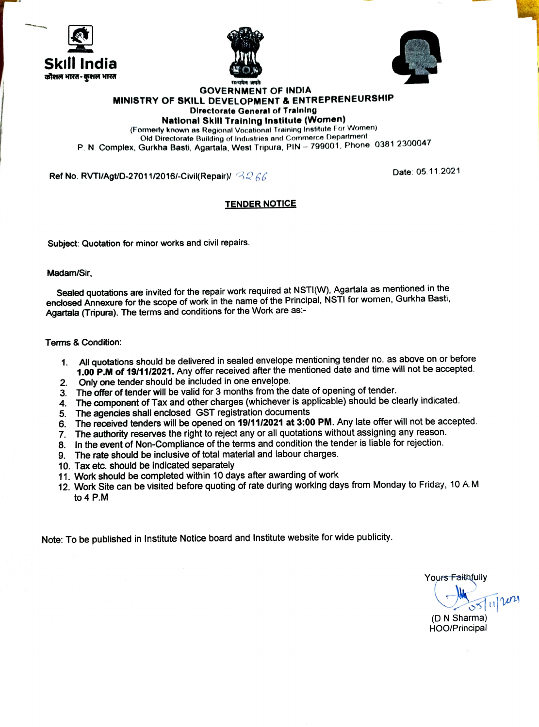





#### GOVERNMENT OF INDIA MINISTRY OF SKILL DEVELOPMENT & ENTREPRENEURSHIP Directorate General of Training

National Skill Training Institute (Women)

(Formerly known as Regional Vocational Training Institute For Women)

Old Directorate Building of Industries and Commerce Department P. N. Complex, Gurkha Basti, Agartala, West Tripura, PIN - 799001, Phone: 0381 2300047

Ref No. RVTI/Agt/D-27011/2016/-Civil(Repair)/  $B266$  Date: 05.11.2021

### TENDER NOTICE

Subject: Quotation for minor works and civil repairs.

Madam/Sir,

Sealed quotations are invited for the repair work required at NSTI(W), Agartala as mentioned in the enclosed Annexure for the scope of work in the name of the Principal, NSTI for women, Gurkha Basti, Agartala (Tripura). The terms and conditions for the Work are as

Tems& Condition:

- All quotations should be delivered in sealed envelope mentioning tender no. as above on or before 1. 1.00 P.M of 19/11/2021. Any offer received after the mentioned date and time will not be accepted
- Only one tender should be included in one envelope. 2.
- The offer of tender will be valid for 3 months from the date of opening of tender
- 4. The component of Tax and other charges (whichever is applicable) should be clearly indicated.
- 5. The agencies shall enclosed GST registration documents
- 6. The received tenders will be opened on 19/11/2021 at 3:00 PM. Any late offer will not be accepted.
- 7. The authority reserves the right to reject any or all quotations without assigning any reason.
- 8. In the event of Non-Compliance of the terms and condition the tender is liable for rejection.
- 9. The rate should be inclusive of total material and labour charges.
- 10. Tax etc. should be indicated separately
- 11. Work should be completed within 10 days after awarding of work
- 12. Work Site can be visited before quoting of rate during working days from Monday to Friday, 10 A.M to 4 P.M

Note: To be published in Institute Notice board and Institute website for wide publicity.

Yours Faithfully (DN Sharma) HOO/Principal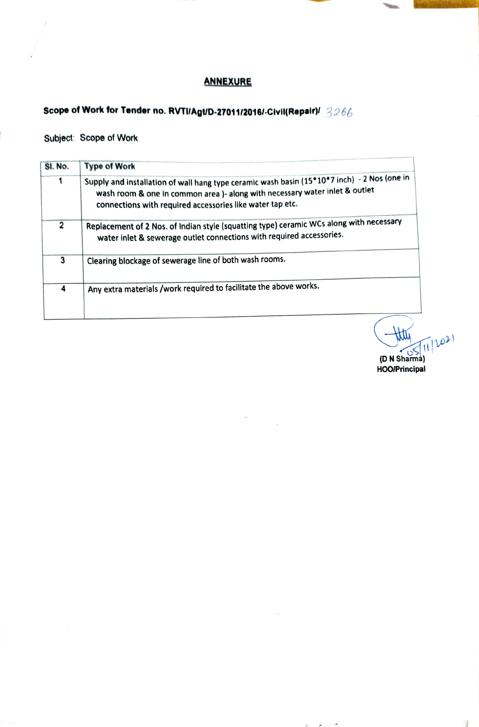## ANNEXURE

# Scope of Work for Tender no. RVTI/Agt/D-27011/2016/-Civil(Repair)/  $3266$

### Subject: Scope of Work

| SI. No.      | <b>Type of Work</b>                                                                                                                                                                                                                     |  |  |  |
|--------------|-----------------------------------------------------------------------------------------------------------------------------------------------------------------------------------------------------------------------------------------|--|--|--|
|              | Supply and installation of wall hang type ceramic wash basin (15*10*7 inch) - 2 Nos (one in<br>wash room & one in common area )- along with necessary water inlet & outlet<br>connections with required accessories like water tap etc. |  |  |  |
| $\mathbf{r}$ | Replacement of 2 Nos. of Indian style (squatting type) ceramic WCs along with necessary<br>water inlet & sewerage outlet connections with required accessories.                                                                         |  |  |  |
| 3            | Clearing blockage of sewerage line of both wash rooms.                                                                                                                                                                                  |  |  |  |
| 4            | Any extra materials /work required to facilitate the above works.                                                                                                                                                                       |  |  |  |

 $\frac{9}{15}$  (1)  $102$ (DN Sharma) HOOIPrincipal

 $\bar{d}$ 

ميستيون الداني